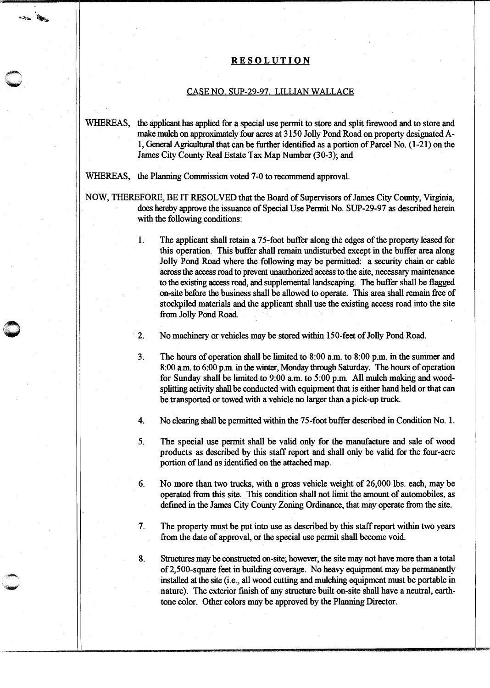## **RESOLUTION**

## CASE NO. SUP-29-97. LILLIAN WALLACE

WHEREAS, the applicant has applied for a special use permit to store and split firewood and to store and make mulch on approximately four acres at 3150 Jolly Pond Road on property designated Al, General Agricultural that can be further identified as a portion of Parcel No. (1-21) on the James City County Real Estate Tax Map Number (30-3); and

WHEREAS, the Planning Commission voted 7-0 to recommend approval.

**ANDREWS AND ARTISTS AND ARTISTS AND ARTISTS AND ARTISTS AND ARTISTS AND ARTISTS AND ARTISTS AND ARTISTS AND A** {~

> NOW, THEREFORE, BE IT RESOLVED that the Board of Supervisors of James City County, Virginia, does hereby approve the issuance of Special Use Permit No. SUP-29-97 as described herein with the following conditions:

> > 1. The applicant shall retain a 75-foot buffer along the edges of the property leased for this operation. This buffer shall remain undisturbed except in the buffer area along Jolly Pond Road where the following may be permitted: a security chain or cable across the access road to prevent unauthorized access to the site, necessary maintenance to the existing access road, and supplemental landscaping. The buffer shall be flagged on-site before the business shall be allowed to operate. This area shall remain free of stockpiled materials and the applicant shall use the existing access road into the site from Jolly Pond Road.

2. No machinery or vehicles may be stored within 150-feet of Jolly Pond Road.

3. The hours of operation shall be limited to 8:00 a.m. to 8:00 p.m. in the summer and 8:00 a.m. to 6:00 p.m in the winter, Monday through Saturday. The hours of operation for Sunday shall be limited to 9:00 a.m. to 5:00 p.m. All mulch making and woodsplitting activity shall be conducted with equipment that is either hand held or that can be transported or towed with a vehicle no larger than a pick-up truck.

4. No clearing shall be permitted within the 75-foot buffer described in Condition No. 1.

5. The special use permit shall be valid only for the manufacture and sale of wood products as described by this staff report and shall only be valid for the four-acre portion of land as identified on the attached map.

6. No more than two trucks, with a gross vehicle weight of 26,000 lbs. each, may be operated from this site. This condition shall not limit the amount of automobiles, as defined in the James City County Zoning Ordinance, that may operate from the site.

7. The property must be put into use as described by this staff report within two years from the date of approval, or the special use permit shall become void.

8. Structures may be oonstructed on-site; however, the site may not have more than a total of 2,500-square feet in building coverage. No heavy equipment may be permanently installed at the site (i.e., all wood cutting and mulching equipment must be portable in nature). The exterior finish of any structure built on-site shall have a neutral, earthtone color. Other colors may be approved by the Planning Director.